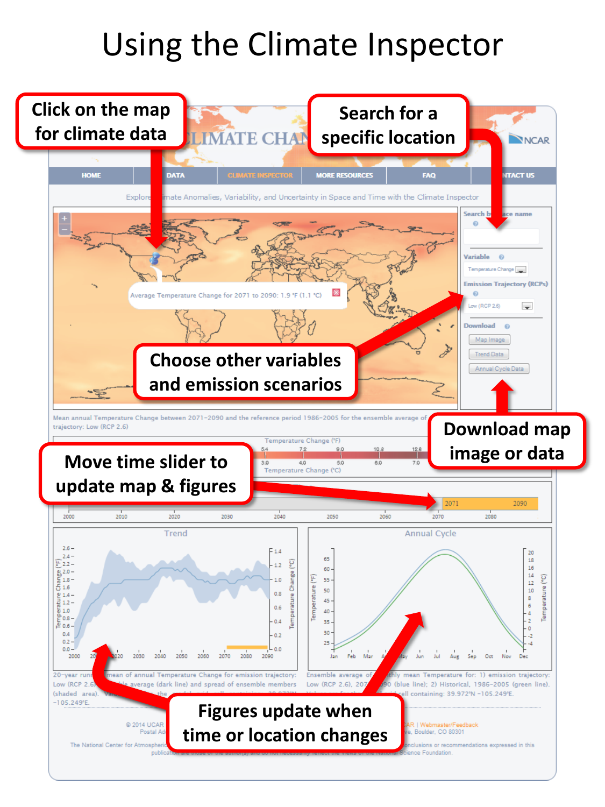# Using the Climate Inspector

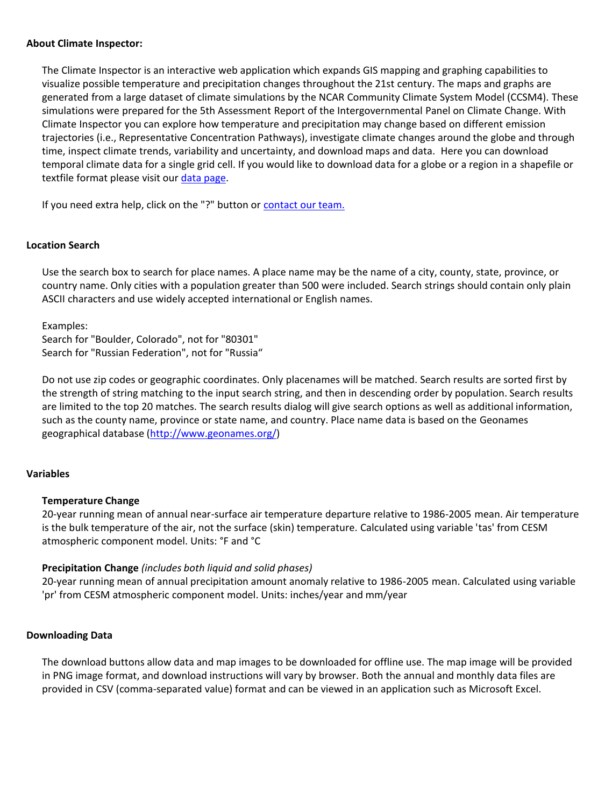## **About Climate Inspector:**

The Climate Inspector is an interactive web application which expands GIS mapping and graphing capabilities to visualize possible temperature and precipitation changes throughout the 21st century. The maps and graphs are generated from a large dataset of climate simulations by the NCAR Community Climate System Model (CCSM4). These simulations were prepared for the 5th Assessment Report of the Intergovernmental Panel on Climate Change. With Climate Inspector you can explore how temperature and precipitation may change based on different emission trajectories (i.e., Representative Concentration Pathways), investigate climate changes around the globe and through time, inspect climate trends, variability and uncertainty, and download maps and data. Here you can download temporal climate data for a single grid cell. If you would like to download data for a globe or a region in a shapefile or textfile format please visit our [data page.](http://gisclimatechange.ucar.edu/gis-data)

If you need extra help, click on the "?" button or [contact our team.](http://gisclimatechange.ucar.edu/contact-us)

## **Location Search**

Use the search box to search for place names. A place name may be the name of a city, county, state, province, or country name. Only cities with a population greater than 500 were included. Search strings should contain only plain ASCII characters and use widely accepted international or English names.

Examples: Search for "Boulder, Colorado", not for "80301" Search for "Russian Federation", not for "Russia"

Do not use zip codes or geographic coordinates. Only placenames will be matched. Search results are sorted first by the strength of string matching to the input search string, and then in descending order by population. Search results are limited to the top 20 matches. The search results dialog will give search options as well as additional information, such as the county name, province or state name, and country. Place name data is based on the Geonames geographical database ([http://www.geonames.org/\)](http://www.geonames.org/)

#### **Variables**

#### **Temperature Change**

20-year running mean of annual near-surface air temperature departure relative to 1986-2005 mean. Air temperature is the bulk temperature of the air, not the surface (skin) temperature. Calculated using variable 'tas' from CESM atmospheric component model. Units: °F and °C

#### **Precipitation Change** *(includes both liquid and solid phases)*

20-year running mean of annual precipitation amount anomaly relative to 1986-2005 mean. Calculated using variable 'pr' from CESM atmospheric component model. Units: inches/year and mm/year

#### **Downloading Data**

The download buttons allow data and map images to be downloaded for offline use. The map image will be provided in PNG image format, and download instructions will vary by browser. Both the annual and monthly data files are provided in CSV (comma-separated value) format and can be viewed in an application such as Microsoft Excel.